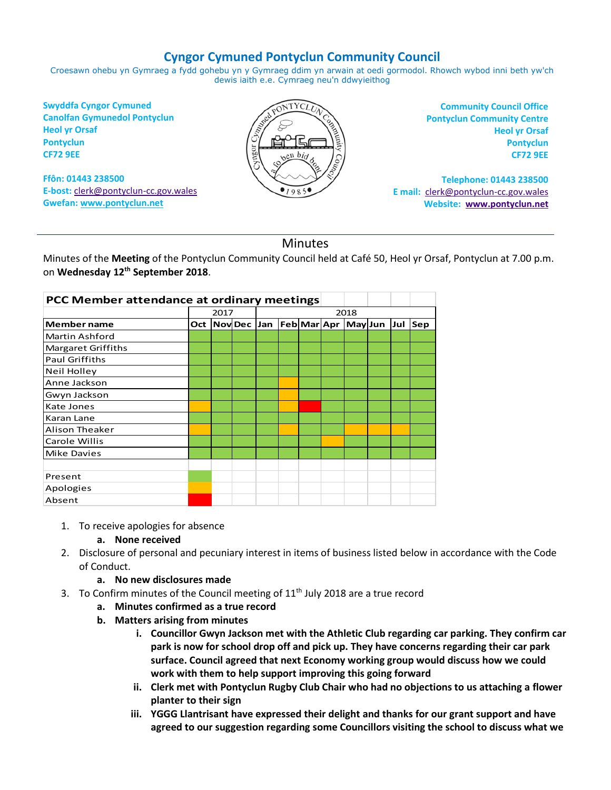## **Cyngor Cymuned Pontyclun Community Council**

Croesawn ohebu yn Gymraeg a fydd gohebu yn y Gymraeg ddim yn arwain at oedi gormodol. Rhowch wybod inni beth yw'ch dewis iaith e.e. Cymraeg neu'n ddwyieithog

**Swyddfa Cyngor Cymuned Canolfan Gymunedol Pontyclun Heol yr Orsaf Pontyclun CF72 9EE**

**Ffôn: 01443 238500 E-bost:** [clerk@pontyclun-cc.gov.wales](mailto:clerk@pontyclun-cc.gov.wales) **Gwefan[: www.pontyclun.net](http://www.pontyclun.net/)** 



**Community Council Office Pontyclun Community Centre Heol yr Orsaf Pontyclun CF72 9EE**

**Telephone: 01443 238500 E mail:** [clerk@pontyclun-cc.gov.wales](mailto:clerk@pontyclun-cc.gov.wales)  **Website: [www.pontyclun.net](http://www.pontyclun.net/)**

## **Minutes**

Minutes of the **Meeting** of the Pontyclun Community Council held at Café 50, Heol yr Orsaf, Pontyclun at 7.00 p.m. on **Wednesday 12 th September 2018**.

| PCC Member attendance at ordinary meetings |      |  |               |      |  |  |  |                           |  |  |     |
|--------------------------------------------|------|--|---------------|------|--|--|--|---------------------------|--|--|-----|
|                                            | 2017 |  |               | 2018 |  |  |  |                           |  |  |     |
| <b>Member name</b>                         |      |  | Oct   Nov Dec | Jan  |  |  |  | Feb Mar Apr  May Jun  Jul |  |  | Sep |
| <b>Martin Ashford</b>                      |      |  |               |      |  |  |  |                           |  |  |     |
| <b>Margaret Griffiths</b>                  |      |  |               |      |  |  |  |                           |  |  |     |
| <b>Paul Griffiths</b>                      |      |  |               |      |  |  |  |                           |  |  |     |
| Neil Holley                                |      |  |               |      |  |  |  |                           |  |  |     |
| Anne Jackson                               |      |  |               |      |  |  |  |                           |  |  |     |
| Gwyn Jackson                               |      |  |               |      |  |  |  |                           |  |  |     |
| Kate Jones                                 |      |  |               |      |  |  |  |                           |  |  |     |
| Karan Lane                                 |      |  |               |      |  |  |  |                           |  |  |     |
| <b>Alison Theaker</b>                      |      |  |               |      |  |  |  |                           |  |  |     |
| Carole Willis                              |      |  |               |      |  |  |  |                           |  |  |     |
| Mike Davies                                |      |  |               |      |  |  |  |                           |  |  |     |
|                                            |      |  |               |      |  |  |  |                           |  |  |     |
| Present                                    |      |  |               |      |  |  |  |                           |  |  |     |
| Apologies                                  |      |  |               |      |  |  |  |                           |  |  |     |
| Absent                                     |      |  |               |      |  |  |  |                           |  |  |     |

1. To receive apologies for absence

**a. None received**

- 2. Disclosure of personal and pecuniary interest in items of business listed below in accordance with the Code of Conduct.
	- **a. No new disclosures made**
- 3. To Confirm minutes of the Council meeting of  $11<sup>th</sup>$  July 2018 are a true record
	- **a. Minutes confirmed as a true record**
	- **b. Matters arising from minutes**
		- **i. Councillor Gwyn Jackson met with the Athletic Club regarding car parking. They confirm car park is now for school drop off and pick up. They have concerns regarding their car park surface. Council agreed that next Economy working group would discuss how we could work with them to help support improving this going forward**
		- **ii. Clerk met with Pontyclun Rugby Club Chair who had no objections to us attaching a flower planter to their sign**
		- **iii. YGGG Llantrisant have expressed their delight and thanks for our grant support and have agreed to our suggestion regarding some Councillors visiting the school to discuss what we**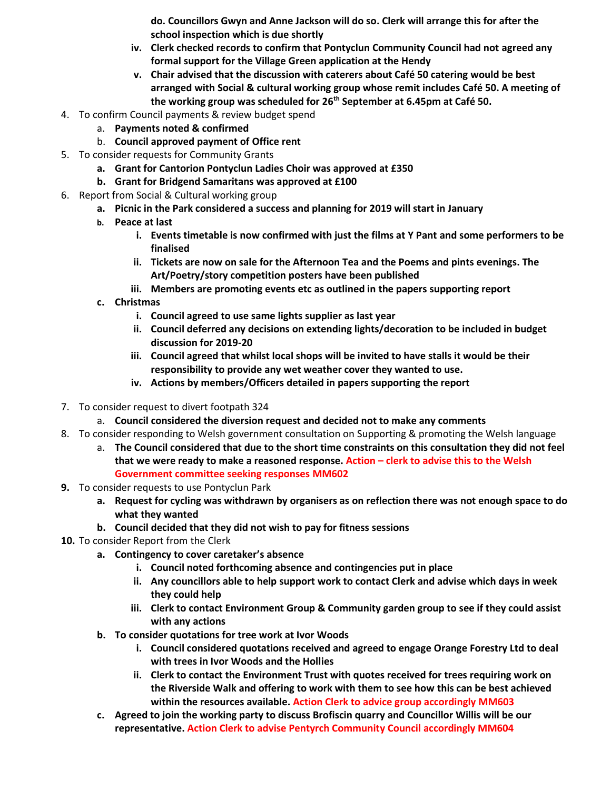**do. Councillors Gwyn and Anne Jackson will do so. Clerk will arrange this for after the school inspection which is due shortly**

- **iv. Clerk checked records to confirm that Pontyclun Community Council had not agreed any formal support for the Village Green application at the Hendy**
- **v. Chair advised that the discussion with caterers about Café 50 catering would be best arranged with Social & cultural working group whose remit includes Café 50. A meeting of the working group was scheduled for 26th September at 6.45pm at Café 50.**
- 4. To confirm Council payments & review budget spend
	- a. **Payments noted & confirmed**
	- b. **Council approved payment of Office rent**
- 5. To consider requests for Community Grants
	- **a. Grant for Cantorion Pontyclun Ladies Choir was approved at £350**
	- **b. Grant for Bridgend Samaritans was approved at £100**
- 6. Report from Social & Cultural working group
	- **a. Picnic in the Park considered a success and planning for 2019 will start in January**
	- **b. Peace at last**
		- **i. Events timetable is now confirmed with just the films at Y Pant and some performers to be finalised**
		- **ii. Tickets are now on sale for the Afternoon Tea and the Poems and pints evenings. The Art/Poetry/story competition posters have been published**
		- **iii. Members are promoting events etc as outlined in the papers supporting report**
	- **c. Christmas**
		- **i. Council agreed to use same lights supplier as last year**
		- **ii. Council deferred any decisions on extending lights/decoration to be included in budget discussion for 2019-20**
		- **iii. Council agreed that whilst local shops will be invited to have stalls it would be their responsibility to provide any wet weather cover they wanted to use.**
		- **iv. Actions by members/Officers detailed in papers supporting the report**
- 7. To consider request to divert footpath 324
	- a. **Council considered the diversion request and decided not to make any comments**
- 8. To consider responding to Welsh government consultation on Supporting & promoting the Welsh language
	- a. **The Council considered that due to the short time constraints on this consultation they did not feel that we were ready to make a reasoned response. Action – clerk to advise this to the Welsh Government committee seeking responses MM602**
- **9.** To consider requests to use Pontyclun Park
	- **a. Request for cycling was withdrawn by organisers as on reflection there was not enough space to do what they wanted**
	- **b. Council decided that they did not wish to pay for fitness sessions**
- **10.** To consider Report from the Clerk
	- **a. Contingency to cover caretaker's absence**
		- **i. Council noted forthcoming absence and contingencies put in place**
		- **ii. Any councillors able to help support work to contact Clerk and advise which days in week they could help**
		- **iii. Clerk to contact Environment Group & Community garden group to see if they could assist with any actions**
	- **b. To consider quotations for tree work at Ivor Woods**
		- **i. Council considered quotations received and agreed to engage Orange Forestry Ltd to deal with trees in Ivor Woods and the Hollies**
		- **ii. Clerk to contact the Environment Trust with quotes received for trees requiring work on the Riverside Walk and offering to work with them to see how this can be best achieved within the resources available. Action Clerk to advice group accordingly MM603**
	- **c. Agreed to join the working party to discuss Brofiscin quarry and Councillor Willis will be our representative. Action Clerk to advise Pentyrch Community Council accordingly MM604**